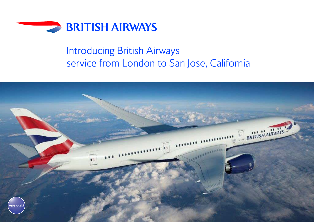

# Introducing British Airways service from London to San Jose, California

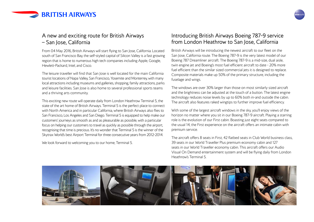

# A new and exciting route for British Airways – San Jose, California

From 04 May 2016, British Airways will start flying to San Jose, California. Located south of San Francisco Bay, the self-styled capital of Silicon Valley is a fast growing region that is home to numerous high tech companies including Apple, Google, Hewlett-Packard, Intel, and Cisco.

The leisure traveller will find that San Jose is well located for the main California tourist locations of Napa Valley, San Francisco, Yosemite and Monterrey, with many local attractions including museums and galleries, shopping, family attractions, parks and leisure facilities. San Jose is also home to several professional sports teams and a thriving arts community.

This exciting new route will operate daily from London Heathrow Terminal 5, the state of the art home of British Airways. Terminal 5 is the perfect place to connect with North America and in particular California, where British Airways also flies to San Francisco, Los Angeles and San Diego. Terminal 5 is equipped to help make our customers' journeys as smooth as and as pleasurable as possible, with a particular focus on helping our customers to travel as quickly as possible through the airport, recognising that time is precious. It's no wonder that Terminal 5 is the winner of the Skytrax World's best Airport Terminal for three consecutive years from 2012-2014.

We look forward to welcoming you to our home, Terminal 5.

### Introducing British Airways Boeing 787-9 service from London Heathrow to San Jose, California

British Airways will be introducing the newest aircraft to our fleet on the San Jose, California route. The Boeing 787-9 is the very latest model of our Boeing 787 Dreamliner aircraft. The Boeing 787-9 is a mid-size, dual aisle, twin engine jet and Boeing's most fuel efficient aircraft to date - 20% more fuel efficient than the similar sized commercial jets it is designed to replace. Composite materials make up 50% of the primary structure, including the fuselage and wings.

The windows are over 30% larger than those on most similarly sized aircraft and the brightness can be adjusted at the touch of a button. The latest engine technology reduces noise levels by up to 60% both in-and outside the cabin. The aircraft also features raked wingtips to further improve fuel efficiency.

With some of the largest aircraft windows in the sky, you'll enjoy views of the horizon no matter where you sit in our Boeing 787-9 aircraft. Playing a starring role is the evolution of our First cabin. Boasting just eight seats compared to the usual 14, the First experience on the aircraft offers an intimate cabin with premium service.

The aircraft offers 8 seats in First, 42 flatbed seats in Club World business class, 39 seats in our World Traveller Plus premium economy cabin and 127 seats in our World Traveller economy cabin. This aircraft offers our Audio Visual On Demand entertainment system and will be flying daily from London Heathrow's Terminal 5.